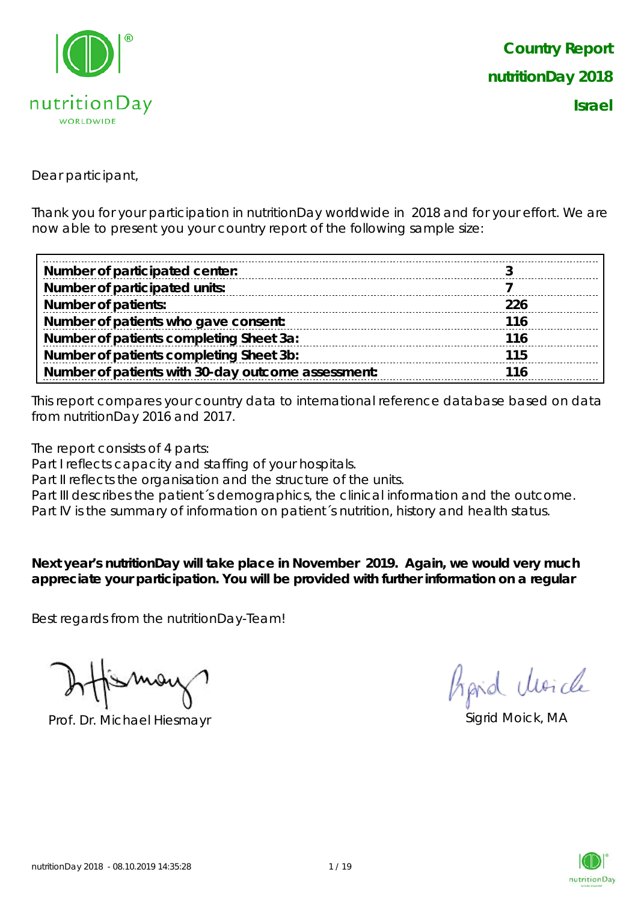

Dear participant,

Thank you for your participation in nutritionDay worldwide in 2018 and for your effort. We are now able to present you your country report of the following sample size:

| Number of participated center:                     |            |
|----------------------------------------------------|------------|
| Number of participated units:                      |            |
| <b>Number of patients:</b>                         | <b>226</b> |
| Number of patients who gave consent:               | 116        |
| Number of patients completing Sheet 3a:            | 116        |
| Number of patients completing Sheet 3b:            | 115        |
| Number of patients with 30-day outcome assessment: | :116       |

This report compares your country data to international reference database based on data from nutritionDay 2016 and 2017.

The report consists of 4 parts:

Part I reflects capacity and staffing of your hospitals.

Part II reflects the organisation and the structure of the units.

Part III describes the patient's demographics, the clinical information and the outcome.

Part IV is the summary of information on patient´s nutrition, history and health status.

**Next year's nutritionDay will take place in November 2019. Again, we would very much appreciate your participation. You will be provided with further information on a regular** 

Best regards from the nutritionDay-Team!

Prof. Dr. Michael Hiesmayr Sigrid Moick, MA

Aprid Moich

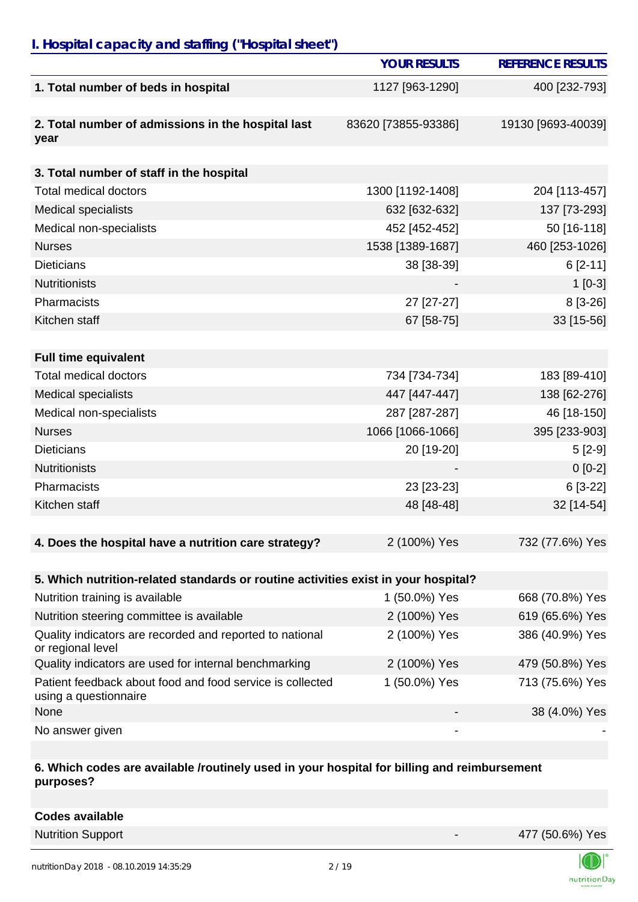### *I. Hospital capacity and staffing ("Hospital sheet")*

|                                                                                    | <b>YOUR RESULTS</b>      | <b>REFERENCE RESULTS</b> |
|------------------------------------------------------------------------------------|--------------------------|--------------------------|
| 1. Total number of beds in hospital                                                | 1127 [963-1290]          | 400 [232-793]            |
|                                                                                    |                          |                          |
| 2. Total number of admissions in the hospital last                                 | 83620 [73855-93386]      | 19130 [9693-40039]       |
| year                                                                               |                          |                          |
| 3. Total number of staff in the hospital                                           |                          |                          |
| <b>Total medical doctors</b>                                                       | 1300 [1192-1408]         | 204 [113-457]            |
| <b>Medical specialists</b>                                                         | 632 [632-632]            | 137 [73-293]             |
| Medical non-specialists                                                            | 452 [452-452]            | 50 [16-118]              |
| <b>Nurses</b>                                                                      | 1538 [1389-1687]         | 460 [253-1026]           |
| <b>Dieticians</b>                                                                  | 38 [38-39]               | $6[2-11]$                |
| <b>Nutritionists</b>                                                               |                          | $1[0-3]$                 |
| Pharmacists                                                                        | 27 [27-27]               | 8 [3-26]                 |
| Kitchen staff                                                                      | 67 [58-75]               | 33 [15-56]               |
|                                                                                    |                          |                          |
| <b>Full time equivalent</b>                                                        |                          |                          |
| <b>Total medical doctors</b>                                                       | 734 [734-734]            | 183 [89-410]             |
| <b>Medical specialists</b>                                                         | 447 [447-447]            | 138 [62-276]             |
| Medical non-specialists                                                            | 287 [287-287]            | 46 [18-150]              |
| <b>Nurses</b>                                                                      | 1066 [1066-1066]         | 395 [233-903]            |
| <b>Dieticians</b>                                                                  | 20 [19-20]               | $5[2-9]$                 |
| <b>Nutritionists</b>                                                               |                          | $0[0-2]$                 |
| Pharmacists                                                                        | 23 [23-23]               | 6 [3-22]                 |
| Kitchen staff                                                                      | 48 [48-48]               | 32 [14-54]               |
|                                                                                    |                          |                          |
| 4. Does the hospital have a nutrition care strategy?                               | 2 (100%) Yes             | 732 (77.6%) Yes          |
|                                                                                    |                          |                          |
| 5. Which nutrition-related standards or routine activities exist in your hospital? |                          |                          |
| Nutrition training is available                                                    | 1 (50.0%) Yes            | 668 (70.8%) Yes          |
| Nutrition steering committee is available                                          | 2 (100%) Yes             | 619 (65.6%) Yes          |
| Quality indicators are recorded and reported to national<br>or regional level      | 2 (100%) Yes             | 386 (40.9%) Yes          |
| Quality indicators are used for internal benchmarking                              | 2 (100%) Yes             | 479 (50.8%) Yes          |
| Patient feedback about food and food service is collected<br>using a questionnaire | 1 (50.0%) Yes            | 713 (75.6%) Yes          |
| None                                                                               |                          | 38 (4.0%) Yes            |
| No answer given                                                                    | $\overline{\phantom{a}}$ |                          |

#### **6. Which codes are available /routinely used in your hospital for billing and reimbursement purposes?**

| <b>Codes available</b> |  |
|------------------------|--|
|                        |  |

Nutrition Support **Access 19 and Access 19 and Access 19 and Access 19 and Access 19 and Access 19 and Access 1** 

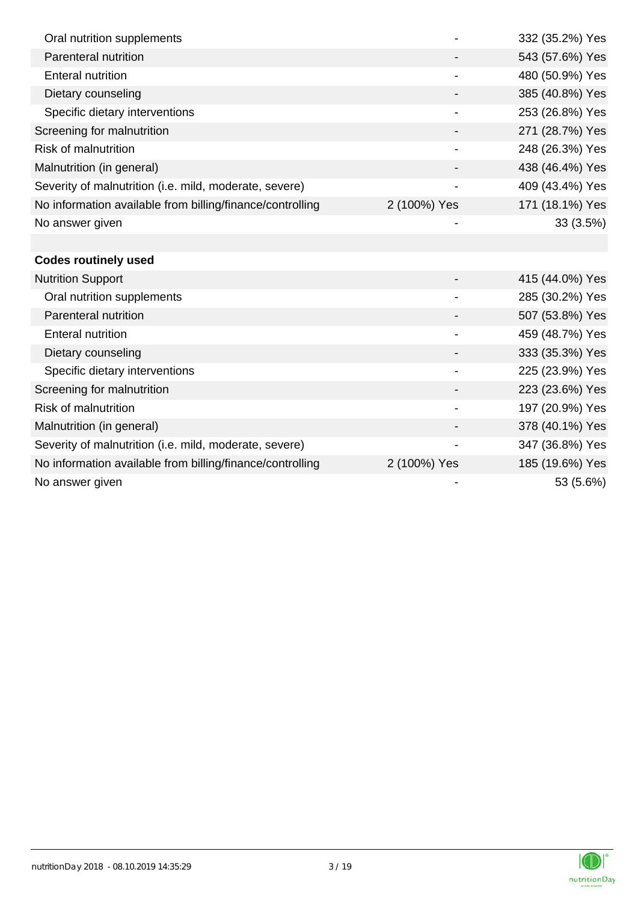| Oral nutrition supplements                                |              | 332 (35.2%) Yes |
|-----------------------------------------------------------|--------------|-----------------|
| Parenteral nutrition                                      |              | 543 (57.6%) Yes |
| <b>Enteral nutrition</b>                                  |              | 480 (50.9%) Yes |
| Dietary counseling                                        |              | 385 (40.8%) Yes |
| Specific dietary interventions                            |              | 253 (26.8%) Yes |
| Screening for malnutrition                                |              | 271 (28.7%) Yes |
| <b>Risk of malnutrition</b>                               |              | 248 (26.3%) Yes |
| Malnutrition (in general)                                 |              | 438 (46.4%) Yes |
| Severity of malnutrition (i.e. mild, moderate, severe)    |              | 409 (43.4%) Yes |
| No information available from billing/finance/controlling | 2 (100%) Yes | 171 (18.1%) Yes |
| No answer given                                           |              | 33 (3.5%)       |
|                                                           |              |                 |
| <b>Codes routinely used</b>                               |              |                 |
| <b>Nutrition Support</b>                                  |              | 415 (44.0%) Yes |
| Oral nutrition supplements                                |              | 285 (30.2%) Yes |
| Parenteral nutrition                                      |              | 507 (53.8%) Yes |
| <b>Enteral nutrition</b>                                  |              | 459 (48.7%) Yes |
| Dietary counseling                                        |              | 333 (35.3%) Yes |
| Specific dietary interventions                            |              | 225 (23.9%) Yes |
| Screening for malnutrition                                |              | 223 (23.6%) Yes |
| <b>Risk of malnutrition</b>                               |              | 197 (20.9%) Yes |
| Malnutrition (in general)                                 |              | 378 (40.1%) Yes |
| Severity of malnutrition (i.e. mild, moderate, severe)    |              | 347 (36.8%) Yes |
| No information available from billing/finance/controlling | 2 (100%) Yes | 185 (19.6%) Yes |
| No answer given                                           |              | 53 (5.6%)       |

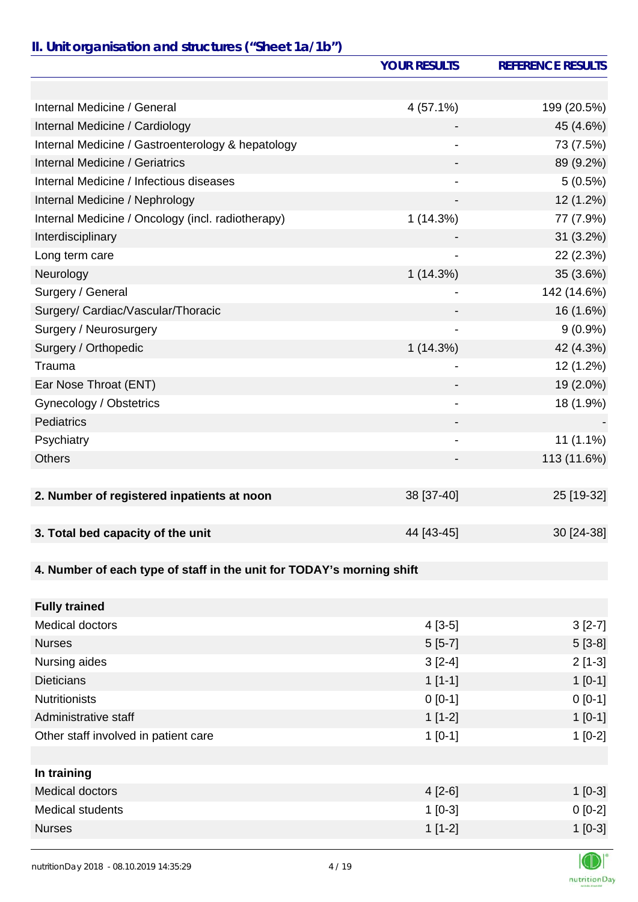# *II. Unit organisation and structures ("Sheet 1a/1b")*

|                                                                       | <b>YOUR RESULTS</b>      | <b>REFERENCE RESULTS</b> |
|-----------------------------------------------------------------------|--------------------------|--------------------------|
|                                                                       |                          |                          |
| Internal Medicine / General                                           | 4(57.1%)                 | 199 (20.5%)              |
| Internal Medicine / Cardiology                                        |                          | 45 (4.6%)                |
| Internal Medicine / Gastroenterology & hepatology                     |                          | 73 (7.5%)                |
| <b>Internal Medicine / Geriatrics</b>                                 |                          | 89 (9.2%)                |
| Internal Medicine / Infectious diseases                               |                          | $5(0.5\%)$               |
| Internal Medicine / Nephrology                                        |                          | 12 (1.2%)                |
| Internal Medicine / Oncology (incl. radiotherapy)                     | 1(14.3%)                 | 77 (7.9%)                |
| Interdisciplinary                                                     |                          | $31(3.2\%)$              |
| Long term care                                                        |                          | 22 (2.3%)                |
| Neurology                                                             | 1(14.3%)                 | 35 (3.6%)                |
| Surgery / General                                                     |                          | 142 (14.6%)              |
| Surgery/ Cardiac/Vascular/Thoracic                                    |                          | 16 (1.6%)                |
| Surgery / Neurosurgery                                                | -                        | $9(0.9\%)$               |
| Surgery / Orthopedic                                                  | 1(14.3%)                 | 42 (4.3%)                |
| Trauma                                                                |                          | 12 (1.2%)                |
| Ear Nose Throat (ENT)                                                 |                          | 19 (2.0%)                |
| Gynecology / Obstetrics                                               |                          | 18 (1.9%)                |
| Pediatrics                                                            |                          |                          |
| Psychiatry                                                            | $\overline{\phantom{0}}$ | $11(1.1\%)$              |
| <b>Others</b>                                                         |                          | 113 (11.6%)              |
|                                                                       |                          |                          |
| 2. Number of registered inpatients at noon                            | 38 [37-40]               | 25 [19-32]               |
|                                                                       |                          |                          |
| 3. Total bed capacity of the unit                                     | 44 [43-45]               | 30 [24-38]               |
|                                                                       |                          |                          |
| 4. Number of each type of staff in the unit for TODAY's morning shift |                          |                          |
|                                                                       |                          |                          |
| <b>Fully trained</b>                                                  |                          |                          |
| <b>Medical doctors</b>                                                | $4[3-5]$                 | $3[2-7]$                 |
| <b>Nurses</b>                                                         | $5[5-7]$                 | $5[3-8]$                 |
| Nursing aides                                                         | $3[2-4]$                 | $2[1-3]$                 |
| <b>Dieticians</b>                                                     | $1[1-1]$                 | $1[0-1]$                 |
| <b>Nutritionists</b>                                                  | $0[0-1]$                 | $0 [0-1]$                |
| Administrative staff                                                  | $1[1-2]$                 | $1[0-1]$                 |
| Other staff involved in patient care                                  | $1[0-1]$                 | $1[0-2]$                 |
|                                                                       |                          |                          |
| In training                                                           |                          |                          |
| <b>Medical doctors</b>                                                | $4[2-6]$                 | $1 [0-3]$                |
| <b>Medical students</b>                                               | $1[0-3]$                 | $0[0-2]$                 |
| <b>Nurses</b>                                                         | $1[1-2]$                 | $1[0-3]$                 |
|                                                                       |                          |                          |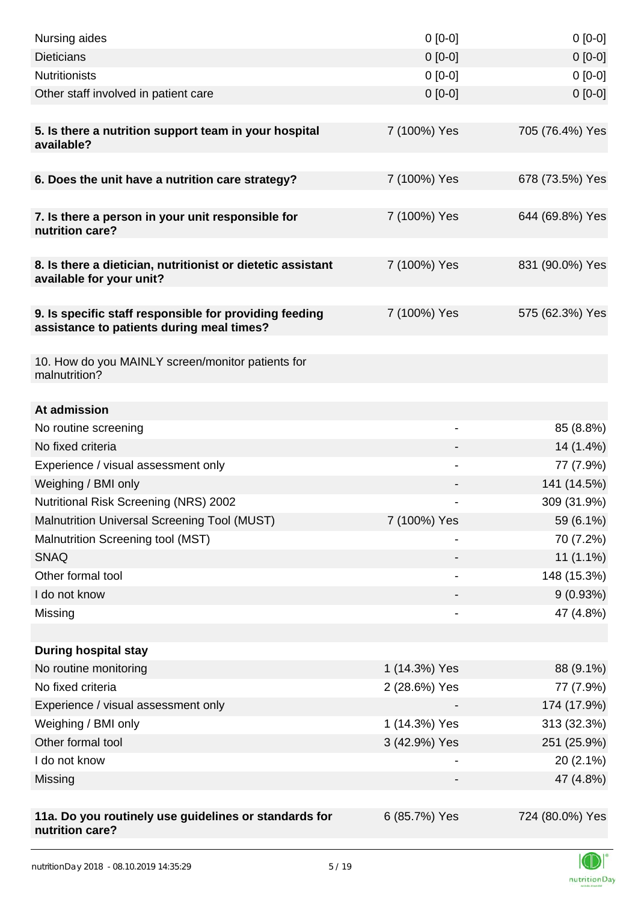| Nursing aides                                                                           | $0[0-0]$      | $0[0-0]$                 |
|-----------------------------------------------------------------------------------------|---------------|--------------------------|
| <b>Dieticians</b>                                                                       | $0[0-0]$      | $0 [0-0]$                |
| <b>Nutritionists</b>                                                                    | $0[0-0]$      | $0[0-0]$                 |
| Other staff involved in patient care                                                    | $0 [0-0]$     | $0 [0-0]$                |
|                                                                                         |               |                          |
| 5. Is there a nutrition support team in your hospital<br>available?                     | 7 (100%) Yes  | 705 (76.4%) Yes          |
| 6. Does the unit have a nutrition care strategy?                                        | 7 (100%) Yes  | 678 (73.5%) Yes          |
|                                                                                         |               |                          |
| 7. Is there a person in your unit responsible for<br>nutrition care?                    | 7 (100%) Yes  | 644 (69.8%) Yes          |
| 8. Is there a dietician, nutritionist or dietetic assistant<br>available for your unit? | 7 (100%) Yes  | 831 (90.0%) Yes          |
| 9. Is specific staff responsible for providing feeding                                  | 7 (100%) Yes  | 575 (62.3%) Yes          |
| assistance to patients during meal times?                                               |               |                          |
| 10. How do you MAINLY screen/monitor patients for<br>malnutrition?                      |               |                          |
|                                                                                         |               |                          |
| At admission                                                                            |               |                          |
| No routine screening<br>No fixed criteria                                               | -             | 85 (8.8%)                |
| Experience / visual assessment only                                                     |               | 14 (1.4%)                |
| Weighing / BMI only                                                                     |               | 77 (7.9%)<br>141 (14.5%) |
| Nutritional Risk Screening (NRS) 2002                                                   | -             | 309 (31.9%)              |
| <b>Malnutrition Universal Screening Tool (MUST)</b>                                     | 7 (100%) Yes  | 59 (6.1%)                |
| Malnutrition Screening tool (MST)                                                       |               | 70 (7.2%)                |
| <b>SNAQ</b>                                                                             |               | $11(1.1\%)$              |
| Other formal tool                                                                       |               | 148 (15.3%)              |
| I do not know                                                                           |               |                          |
| Missing                                                                                 |               | 9(0.93%)<br>47 (4.8%)    |
|                                                                                         |               |                          |
| <b>During hospital stay</b>                                                             |               |                          |
| No routine monitoring                                                                   | 1 (14.3%) Yes | 88 (9.1%)                |
| No fixed criteria                                                                       | 2 (28.6%) Yes | 77 (7.9%)                |
| Experience / visual assessment only                                                     |               | 174 (17.9%)              |
| Weighing / BMI only                                                                     | 1 (14.3%) Yes | 313 (32.3%)              |
| Other formal tool                                                                       | 3 (42.9%) Yes | 251 (25.9%)              |
| I do not know                                                                           |               | $20(2.1\%)$              |
| Missing                                                                                 |               | 47 (4.8%)                |
|                                                                                         |               |                          |
| 11a. Do you routinely use guidelines or standards for<br>nutrition care?                | 6 (85.7%) Yes | 724 (80.0%) Yes          |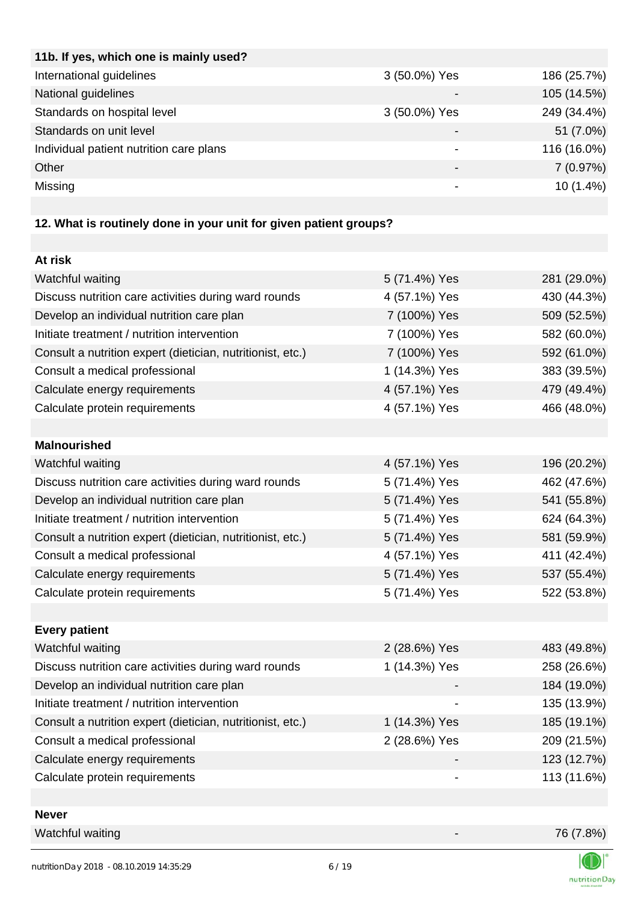| 11b. If yes, which one is mainly used?  |                          |             |
|-----------------------------------------|--------------------------|-------------|
| International guidelines                | 3 (50.0%) Yes            | 186 (25.7%) |
| National guidelines                     |                          | 105 (14.5%) |
| Standards on hospital level             | 3 (50.0%) Yes            | 249 (34.4%) |
| Standards on unit level                 |                          | 51 (7.0%)   |
| Individual patient nutrition care plans |                          | 116 (16.0%) |
| Other                                   | $\overline{\phantom{0}}$ | 7(0.97%)    |
| Missing                                 |                          | $10(1.4\%)$ |
|                                         |                          |             |

# **12. What is routinely done in your unit for given patient groups?**

| At risk                                                    |               |             |
|------------------------------------------------------------|---------------|-------------|
| Watchful waiting                                           | 5 (71.4%) Yes | 281 (29.0%) |
| Discuss nutrition care activities during ward rounds       | 4 (57.1%) Yes | 430 (44.3%) |
| Develop an individual nutrition care plan                  | 7 (100%) Yes  | 509 (52.5%) |
| Initiate treatment / nutrition intervention                | 7 (100%) Yes  | 582 (60.0%) |
| Consult a nutrition expert (dietician, nutritionist, etc.) | 7 (100%) Yes  | 592 (61.0%) |
| Consult a medical professional                             | 1 (14.3%) Yes | 383 (39.5%) |
| Calculate energy requirements                              | 4 (57.1%) Yes | 479 (49.4%) |
| Calculate protein requirements                             | 4 (57.1%) Yes | 466 (48.0%) |
|                                                            |               |             |
| <b>Malnourished</b>                                        |               |             |
| Watchful waiting                                           | 4 (57.1%) Yes | 196 (20.2%) |
| Discuss nutrition care activities during ward rounds       | 5 (71.4%) Yes | 462 (47.6%) |
| Develop an individual nutrition care plan                  | 5 (71.4%) Yes | 541 (55.8%) |
| Initiate treatment / nutrition intervention                | 5 (71.4%) Yes | 624 (64.3%) |
| Consult a nutrition expert (dietician, nutritionist, etc.) | 5 (71.4%) Yes | 581 (59.9%) |
| Consult a medical professional                             | 4 (57.1%) Yes | 411 (42.4%) |
| Calculate energy requirements                              | 5 (71.4%) Yes | 537 (55.4%) |
| Calculate protein requirements                             | 5 (71.4%) Yes | 522 (53.8%) |
|                                                            |               |             |
| <b>Every patient</b>                                       |               |             |
| Watchful waiting                                           | 2 (28.6%) Yes | 483 (49.8%) |
| Discuss nutrition care activities during ward rounds       | 1 (14.3%) Yes | 258 (26.6%) |
| Develop an individual nutrition care plan                  |               | 184 (19.0%) |
| Initiate treatment / nutrition intervention                |               | 135 (13.9%) |
| Consult a nutrition expert (dietician, nutritionist, etc.) | 1 (14.3%) Yes | 185 (19.1%) |
| Consult a medical professional                             | 2 (28.6%) Yes | 209 (21.5%) |
| Calculate energy requirements                              |               | 123 (12.7%) |
| Calculate protein requirements                             |               | 113 (11.6%) |
|                                                            |               |             |
| <b>Never</b>                                               |               |             |

Watchful waiting 76 (7.8%)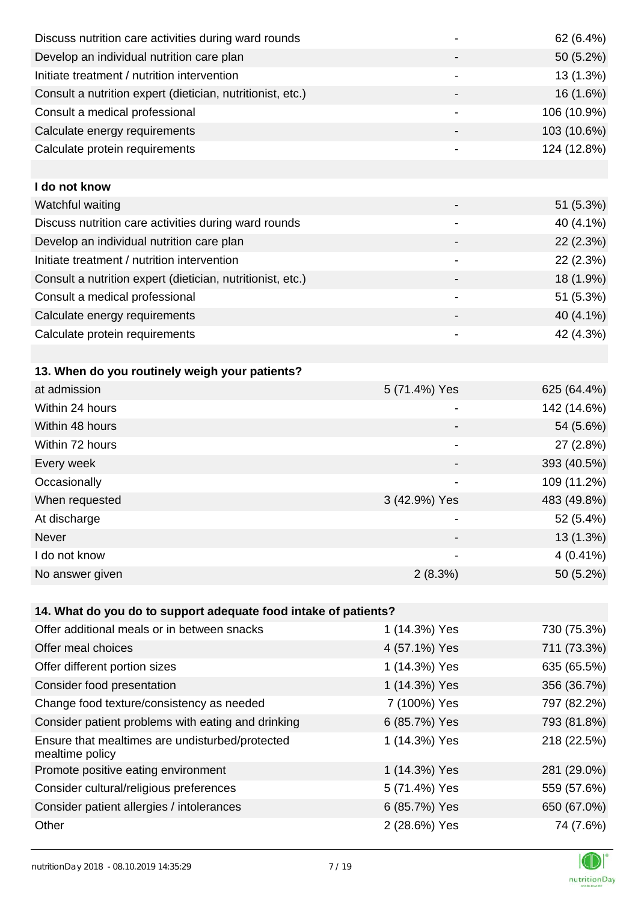| Discuss nutrition care activities during ward rounds            |                          | 62 (6.4%)   |
|-----------------------------------------------------------------|--------------------------|-------------|
| Develop an individual nutrition care plan                       |                          | 50 (5.2%)   |
| Initiate treatment / nutrition intervention                     | $\overline{\phantom{a}}$ | 13 (1.3%)   |
| Consult a nutrition expert (dietician, nutritionist, etc.)      |                          | 16 (1.6%)   |
| Consult a medical professional                                  | -                        | 106 (10.9%) |
| Calculate energy requirements                                   |                          | 103 (10.6%) |
| Calculate protein requirements                                  |                          | 124 (12.8%) |
|                                                                 |                          |             |
| I do not know                                                   |                          |             |
| Watchful waiting                                                |                          | 51 (5.3%)   |
| Discuss nutrition care activities during ward rounds            | $\overline{\phantom{0}}$ | 40 (4.1%)   |
| Develop an individual nutrition care plan                       |                          | 22 (2.3%)   |
| Initiate treatment / nutrition intervention                     |                          | 22 (2.3%)   |
| Consult a nutrition expert (dietician, nutritionist, etc.)      |                          | 18 (1.9%)   |
| Consult a medical professional                                  |                          | 51 (5.3%)   |
| Calculate energy requirements                                   |                          | 40 (4.1%)   |
| Calculate protein requirements                                  |                          | 42 (4.3%)   |
|                                                                 |                          |             |
| 13. When do you routinely weigh your patients?                  |                          |             |
| at admission                                                    | 5 (71.4%) Yes            | 625 (64.4%) |
| Within 24 hours                                                 | -                        | 142 (14.6%) |
| Within 48 hours                                                 |                          | 54 (5.6%)   |
| Within 72 hours                                                 | -                        | 27 (2.8%)   |
| Every week                                                      |                          | 393 (40.5%) |
| Occasionally                                                    |                          | 109 (11.2%) |
| When requested                                                  | 3 (42.9%) Yes            | 483 (49.8%) |
| At discharge                                                    |                          | 52 (5.4%)   |
| Never                                                           |                          | 13 (1.3%)   |
| I do not know                                                   |                          | $4(0.41\%)$ |
| No answer given                                                 | 2(8.3%)                  | 50 (5.2%)   |
|                                                                 |                          |             |
| 14. What do you do to support adequate food intake of patients? |                          |             |
| Offer additional meals or in between snacks                     | 1 (14.3%) Yes            | 730 (75.3%) |
| Offer meal choices                                              | 4 (57.1%) Yes            | 711 (73.3%) |
| Offer different portion sizes                                   | 1 (14.3%) Yes            | 635 (65.5%) |
| Consider food presentation                                      | 1 (14.3%) Yes            | 356 (36.7%) |
| Change food texture/consistency as needed                       | 7 (100%) Yes             | 797 (82.2%) |
| Consider patient problems with eating and drinking              | 6 (85.7%) Yes            | 793 (81.8%) |
| Ensure that mealtimes are undisturbed/protected                 | 1 (14.3%) Yes            | 218 (22.5%) |
| mealtime policy                                                 |                          |             |
| Promote positive eating environment                             | 1 (14.3%) Yes            | 281 (29.0%) |
| Consider cultural/religious preferences                         | 5 (71.4%) Yes            | 559 (57.6%) |
| Consider patient allergies / intolerances                       | 6 (85.7%) Yes            | 650 (67.0%) |
| Other                                                           | 2 (28.6%) Yes            | 74 (7.6%)   |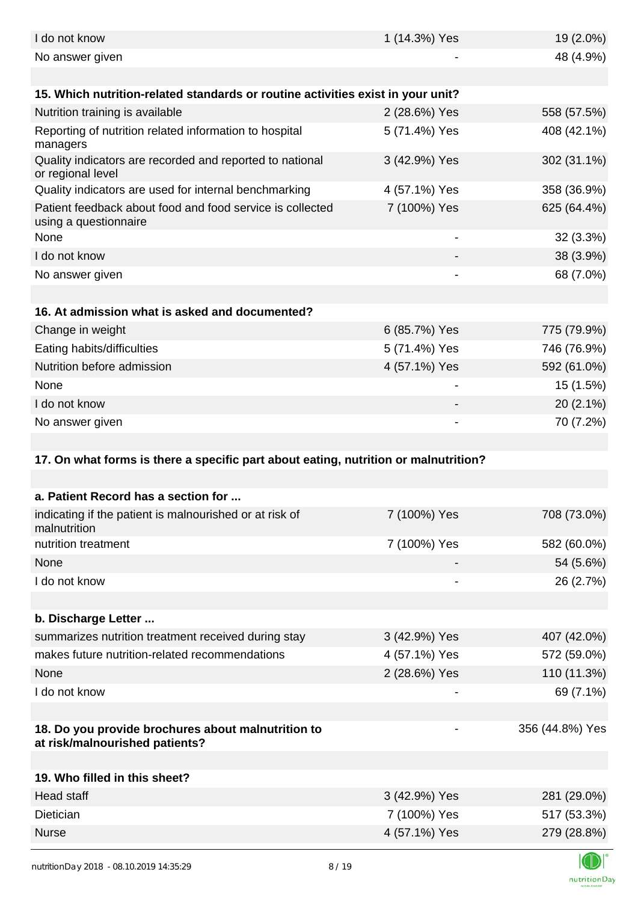| I do not know                                                                        | 1 (14.3%) Yes | 19 (2.0%)       |
|--------------------------------------------------------------------------------------|---------------|-----------------|
| No answer given                                                                      |               | 48 (4.9%)       |
|                                                                                      |               |                 |
| 15. Which nutrition-related standards or routine activities exist in your unit?      |               |                 |
| Nutrition training is available                                                      | 2 (28.6%) Yes | 558 (57.5%)     |
| Reporting of nutrition related information to hospital<br>managers                   | 5 (71.4%) Yes | 408 (42.1%)     |
| Quality indicators are recorded and reported to national<br>or regional level        | 3 (42.9%) Yes | 302 (31.1%)     |
| Quality indicators are used for internal benchmarking                                | 4 (57.1%) Yes | 358 (36.9%)     |
| Patient feedback about food and food service is collected<br>using a questionnaire   | 7 (100%) Yes  | 625 (64.4%)     |
| None                                                                                 | -             | 32 (3.3%)       |
| I do not know                                                                        |               | 38 (3.9%)       |
| No answer given                                                                      |               | 68 (7.0%)       |
|                                                                                      |               |                 |
| 16. At admission what is asked and documented?                                       |               |                 |
| Change in weight                                                                     | 6 (85.7%) Yes | 775 (79.9%)     |
| Eating habits/difficulties                                                           | 5 (71.4%) Yes | 746 (76.9%)     |
| Nutrition before admission                                                           | 4 (57.1%) Yes | 592 (61.0%)     |
| None                                                                                 |               | 15 (1.5%)       |
| I do not know                                                                        |               | $20(2.1\%)$     |
| No answer given                                                                      |               | 70 (7.2%)       |
|                                                                                      |               |                 |
|                                                                                      |               |                 |
| 17. On what forms is there a specific part about eating, nutrition or malnutrition?  |               |                 |
|                                                                                      |               |                 |
| a. Patient Record has a section for                                                  |               |                 |
| indicating if the patient is malnourished or at risk of<br>malnutrition              | 7 (100%) Yes  | 708 (73.0%)     |
| nutrition treatment                                                                  | 7 (100%) Yes  | 582 (60.0%)     |
| None                                                                                 |               | 54 (5.6%)       |
| I do not know                                                                        |               | 26 (2.7%)       |
|                                                                                      |               |                 |
| b. Discharge Letter                                                                  |               |                 |
| summarizes nutrition treatment received during stay                                  | 3 (42.9%) Yes | 407 (42.0%)     |
| makes future nutrition-related recommendations                                       | 4 (57.1%) Yes | 572 (59.0%)     |
| None                                                                                 | 2 (28.6%) Yes | 110 (11.3%)     |
| I do not know                                                                        |               | 69 (7.1%)       |
|                                                                                      |               |                 |
| 18. Do you provide brochures about malnutrition to<br>at risk/malnourished patients? |               | 356 (44.8%) Yes |
|                                                                                      |               |                 |
| 19. Who filled in this sheet?                                                        |               |                 |
| <b>Head staff</b>                                                                    | 3 (42.9%) Yes | 281 (29.0%)     |
| Dietician                                                                            | 7 (100%) Yes  | 517 (53.3%)     |
| <b>Nurse</b>                                                                         | 4 (57.1%) Yes | 279 (28.8%)     |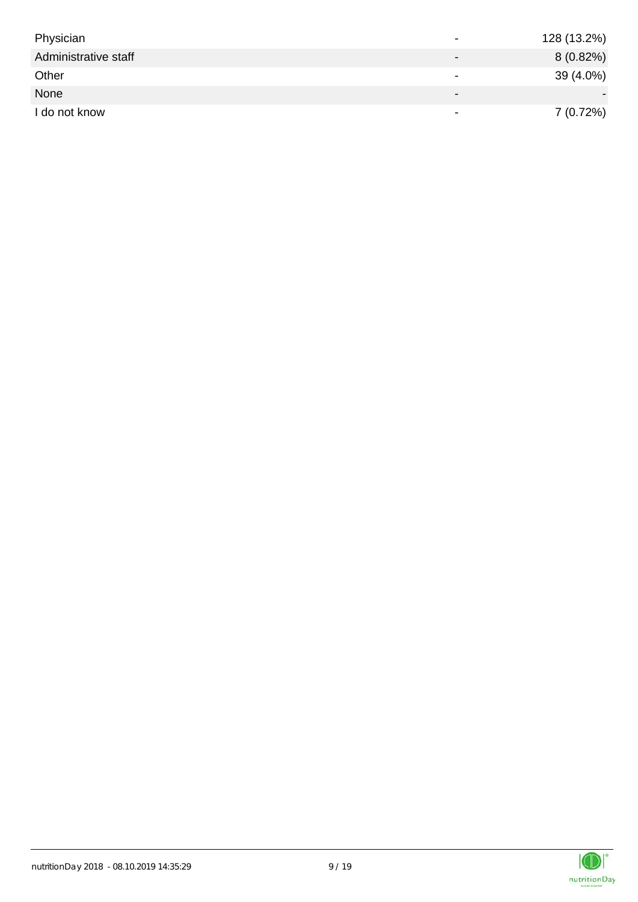| Physician            |                          | 128 (13.2%) |
|----------------------|--------------------------|-------------|
| Administrative staff |                          | $8(0.82\%)$ |
| Other                | ۰                        | 39 (4.0%)   |
| None                 | $\overline{\phantom{0}}$ |             |
| I do not know        | $\overline{\phantom{0}}$ | 7(0.72%)    |

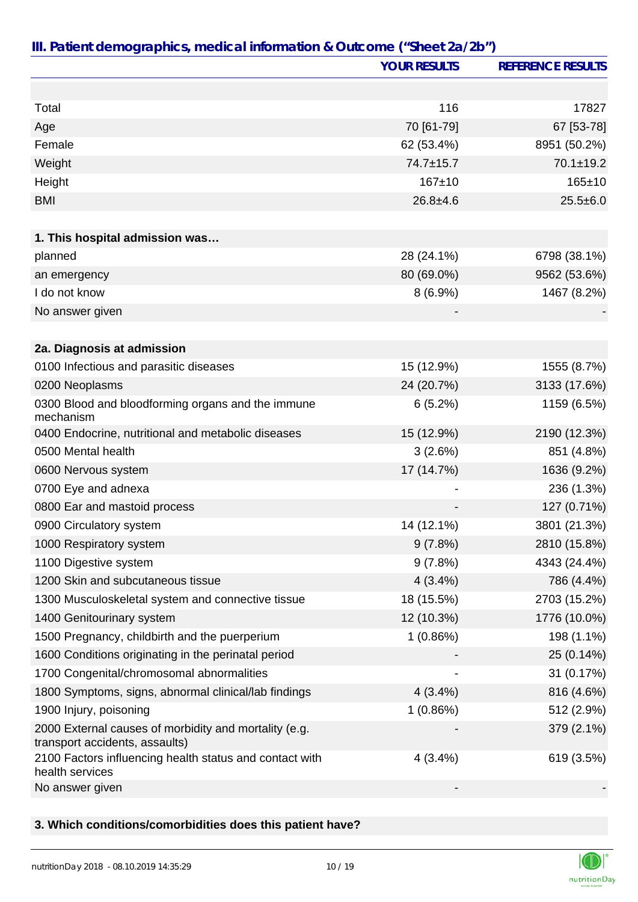|                                                                                         | <b>YOUR RESULTS</b> | <b>REFERENCE RESULTS</b> |
|-----------------------------------------------------------------------------------------|---------------------|--------------------------|
|                                                                                         |                     |                          |
| Total                                                                                   | 116                 | 17827                    |
| Age                                                                                     | 70 [61-79]          | 67 [53-78]               |
| Female                                                                                  | 62 (53.4%)          | 8951 (50.2%)             |
| Weight                                                                                  | 74.7±15.7           | $70.1 \pm 19.2$          |
| Height                                                                                  | $167 + 10$          | $165 + 10$               |
| <b>BMI</b>                                                                              | $26.8 + 4.6$        | $25.5 \pm 6.0$           |
|                                                                                         |                     |                          |
| 1. This hospital admission was                                                          |                     |                          |
| planned                                                                                 | 28 (24.1%)          | 6798 (38.1%)             |
| an emergency                                                                            | 80 (69.0%)          | 9562 (53.6%)             |
| I do not know                                                                           | $8(6.9\%)$          | 1467 (8.2%)              |
| No answer given                                                                         |                     |                          |
|                                                                                         |                     |                          |
| 2a. Diagnosis at admission                                                              |                     |                          |
| 0100 Infectious and parasitic diseases                                                  | 15 (12.9%)          | 1555 (8.7%)              |
| 0200 Neoplasms                                                                          | 24 (20.7%)          | 3133 (17.6%)             |
| 0300 Blood and bloodforming organs and the immune<br>mechanism                          | 6(5.2%)             | 1159 (6.5%)              |
| 0400 Endocrine, nutritional and metabolic diseases                                      | 15 (12.9%)          | 2190 (12.3%)             |
| 0500 Mental health                                                                      | 3(2.6%)             | 851 (4.8%)               |
| 0600 Nervous system                                                                     | 17 (14.7%)          | 1636 (9.2%)              |
| 0700 Eye and adnexa                                                                     |                     | 236 (1.3%)               |
| 0800 Ear and mastoid process                                                            |                     | 127 (0.71%)              |
| 0900 Circulatory system                                                                 | 14 (12.1%)          | 3801 (21.3%)             |
| 1000 Respiratory system                                                                 | 9(7.8%)             | 2810 (15.8%)             |
| 1100 Digestive system                                                                   | 9(7.8%)             | 4343 (24.4%)             |
| 1200 Skin and subcutaneous tissue                                                       | $4(3.4\%)$          | 786 (4.4%)               |
| 1300 Musculoskeletal system and connective tissue                                       | 18 (15.5%)          | 2703 (15.2%)             |
| 1400 Genitourinary system                                                               | 12 (10.3%)          | 1776 (10.0%)             |
| 1500 Pregnancy, childbirth and the puerperium                                           | 1(0.86%)            | 198 (1.1%)               |
| 1600 Conditions originating in the perinatal period                                     |                     | 25 (0.14%)               |
| 1700 Congenital/chromosomal abnormalities                                               |                     | 31 (0.17%)               |
| 1800 Symptoms, signs, abnormal clinical/lab findings                                    | 4(3.4%)             | 816 (4.6%)               |
| 1900 Injury, poisoning                                                                  | 1(0.86%)            | 512 (2.9%)               |
| 2000 External causes of morbidity and mortality (e.g.<br>transport accidents, assaults) |                     | 379 (2.1%)               |
| 2100 Factors influencing health status and contact with<br>health services              | 4(3.4%)             | 619 (3.5%)               |
| No answer given                                                                         |                     |                          |

#### **3. Which conditions/comorbidities does this patient have?**

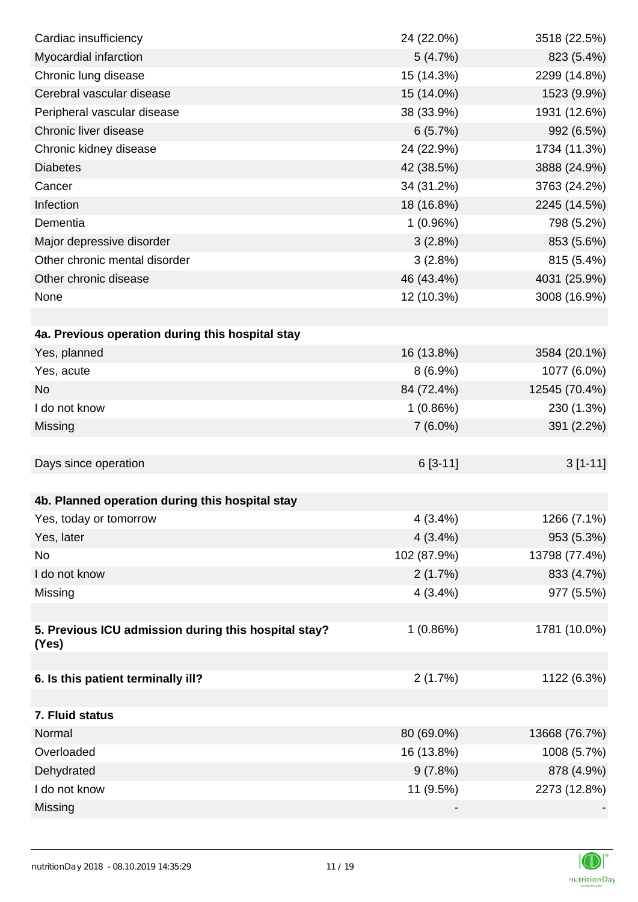| Cardiac insufficiency                                         | 24 (22.0%)  | 3518 (22.5%)  |
|---------------------------------------------------------------|-------------|---------------|
| Myocardial infarction                                         | 5(4.7%)     | 823 (5.4%)    |
| Chronic lung disease                                          | 15 (14.3%)  | 2299 (14.8%)  |
| Cerebral vascular disease                                     | 15 (14.0%)  | 1523 (9.9%)   |
| Peripheral vascular disease                                   | 38 (33.9%)  | 1931 (12.6%)  |
| Chronic liver disease                                         | 6(5.7%)     | 992 (6.5%)    |
| Chronic kidney disease                                        | 24 (22.9%)  | 1734 (11.3%)  |
| <b>Diabetes</b>                                               | 42 (38.5%)  | 3888 (24.9%)  |
| Cancer                                                        | 34 (31.2%)  | 3763 (24.2%)  |
| Infection                                                     | 18 (16.8%)  | 2245 (14.5%)  |
| Dementia                                                      | 1(0.96%)    | 798 (5.2%)    |
| Major depressive disorder                                     | 3(2.8%)     | 853 (5.6%)    |
| Other chronic mental disorder                                 | 3(2.8%)     | 815 (5.4%)    |
| Other chronic disease                                         | 46 (43.4%)  | 4031 (25.9%)  |
| None                                                          | 12 (10.3%)  | 3008 (16.9%)  |
|                                                               |             |               |
| 4a. Previous operation during this hospital stay              |             |               |
| Yes, planned                                                  | 16 (13.8%)  | 3584 (20.1%)  |
| Yes, acute                                                    | 8(6.9%)     | 1077 (6.0%)   |
| <b>No</b>                                                     | 84 (72.4%)  | 12545 (70.4%) |
| I do not know                                                 | 1(0.86%)    | 230 (1.3%)    |
| Missing                                                       | $7(6.0\%)$  | 391 (2.2%)    |
|                                                               |             |               |
| Days since operation                                          | $6[3-11]$   | $3[1-11]$     |
|                                                               |             |               |
| 4b. Planned operation during this hospital stay               |             |               |
| Yes, today or tomorrow                                        | 4(3.4%)     | 1266 (7.1%)   |
| Yes, later                                                    | 4(3.4%)     | 953 (5.3%)    |
| No                                                            | 102 (87.9%) | 13798 (77.4%) |
| I do not know                                                 | 2(1.7%)     | 833 (4.7%)    |
| Missing                                                       | $4(3.4\%)$  | 977 (5.5%)    |
|                                                               |             |               |
| 5. Previous ICU admission during this hospital stay?<br>(Yes) | 1(0.86%)    | 1781 (10.0%)  |
|                                                               |             |               |
| 6. Is this patient terminally ill?                            | 2(1.7%)     | 1122 (6.3%)   |
|                                                               |             |               |
| 7. Fluid status                                               |             |               |
| Normal                                                        | 80 (69.0%)  | 13668 (76.7%) |
| Overloaded                                                    | 16 (13.8%)  | 1008 (5.7%)   |
| Dehydrated                                                    | 9(7.8%)     | 878 (4.9%)    |
| I do not know                                                 | 11 (9.5%)   | 2273 (12.8%)  |
| Missing                                                       |             |               |

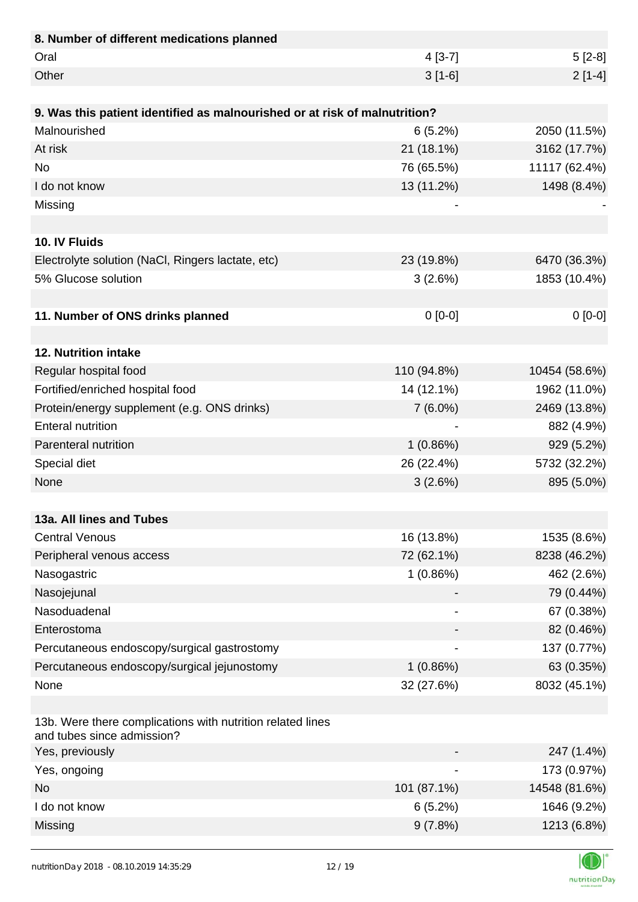| 8. Number of different medications planned                                               |             |               |
|------------------------------------------------------------------------------------------|-------------|---------------|
| Oral                                                                                     | $4 [3-7]$   | $5[2-8]$      |
| Other                                                                                    | $3[1-6]$    | $2[1-4]$      |
|                                                                                          |             |               |
| 9. Was this patient identified as malnourished or at risk of malnutrition?               |             |               |
| Malnourished                                                                             | 6(5.2%)     | 2050 (11.5%)  |
| At risk                                                                                  | 21 (18.1%)  | 3162 (17.7%)  |
| <b>No</b>                                                                                | 76 (65.5%)  | 11117 (62.4%) |
| I do not know                                                                            | 13 (11.2%)  | 1498 (8.4%)   |
| Missing                                                                                  |             |               |
|                                                                                          |             |               |
| 10. IV Fluids                                                                            |             |               |
| Electrolyte solution (NaCl, Ringers lactate, etc)                                        | 23 (19.8%)  | 6470 (36.3%)  |
| 5% Glucose solution                                                                      | 3(2.6%)     | 1853 (10.4%)  |
|                                                                                          |             |               |
| 11. Number of ONS drinks planned                                                         | $0[0-0]$    | $0[0-0]$      |
|                                                                                          |             |               |
| 12. Nutrition intake                                                                     |             |               |
| Regular hospital food                                                                    | 110 (94.8%) | 10454 (58.6%) |
| Fortified/enriched hospital food                                                         | 14 (12.1%)  | 1962 (11.0%)  |
| Protein/energy supplement (e.g. ONS drinks)                                              | $7(6.0\%)$  | 2469 (13.8%)  |
| <b>Enteral nutrition</b>                                                                 |             | 882 (4.9%)    |
| Parenteral nutrition                                                                     | 1(0.86%)    | 929 (5.2%)    |
| Special diet                                                                             | 26 (22.4%)  | 5732 (32.2%)  |
| None                                                                                     | 3(2.6%)     | 895 (5.0%)    |
|                                                                                          |             |               |
| 13a. All lines and Tubes                                                                 |             |               |
| <b>Central Venous</b>                                                                    | 16 (13.8%)  | 1535 (8.6%)   |
| Peripheral venous access                                                                 | 72 (62.1%)  | 8238 (46.2%)  |
| Nasogastric                                                                              | 1(0.86%)    | 462 (2.6%)    |
| Nasojejunal                                                                              |             | 79 (0.44%)    |
| Nasoduadenal                                                                             |             | 67 (0.38%)    |
| Enterostoma                                                                              |             | 82 (0.46%)    |
| Percutaneous endoscopy/surgical gastrostomy                                              |             | 137 (0.77%)   |
| Percutaneous endoscopy/surgical jejunostomy                                              | 1(0.86%)    | 63 (0.35%)    |
| None                                                                                     | 32 (27.6%)  | 8032 (45.1%)  |
|                                                                                          |             |               |
| 13b. Were there complications with nutrition related lines<br>and tubes since admission? |             |               |
| Yes, previously                                                                          |             | 247 (1.4%)    |
| Yes, ongoing                                                                             |             | 173 (0.97%)   |
| <b>No</b>                                                                                | 101 (87.1%) | 14548 (81.6%) |
| I do not know                                                                            | 6(5.2%)     | 1646 (9.2%)   |
| Missing                                                                                  | 9(7.8%)     | 1213 (6.8%)   |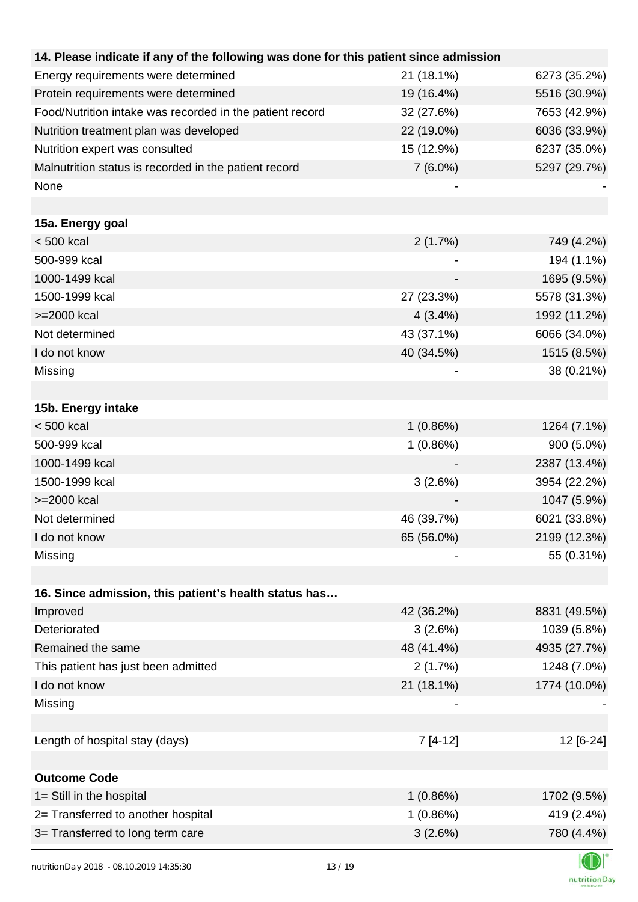| 14. Please indicate if any of the following was done for this patient since admission |            |              |
|---------------------------------------------------------------------------------------|------------|--------------|
| Energy requirements were determined                                                   | 21 (18.1%) | 6273 (35.2%) |
| Protein requirements were determined                                                  | 19 (16.4%) | 5516 (30.9%) |
| Food/Nutrition intake was recorded in the patient record                              | 32 (27.6%) | 7653 (42.9%) |
| Nutrition treatment plan was developed                                                | 22 (19.0%) | 6036 (33.9%) |
| Nutrition expert was consulted                                                        | 15 (12.9%) | 6237 (35.0%) |
| Malnutrition status is recorded in the patient record                                 | $7(6.0\%)$ | 5297 (29.7%) |
| None                                                                                  |            |              |
|                                                                                       |            |              |
| 15a. Energy goal                                                                      |            |              |
| $< 500$ kcal                                                                          | 2(1.7%)    | 749 (4.2%)   |
| 500-999 kcal                                                                          |            | 194 (1.1%)   |
| 1000-1499 kcal                                                                        |            | 1695 (9.5%)  |
| 1500-1999 kcal                                                                        | 27 (23.3%) | 5578 (31.3%) |
| >=2000 kcal                                                                           | $4(3.4\%)$ | 1992 (11.2%) |
| Not determined                                                                        | 43 (37.1%) | 6066 (34.0%) |
| I do not know                                                                         | 40 (34.5%) | 1515 (8.5%)  |
| Missing                                                                               |            | 38 (0.21%)   |
|                                                                                       |            |              |
| 15b. Energy intake                                                                    |            |              |
| $< 500$ kcal                                                                          | 1(0.86%)   | 1264 (7.1%)  |
| 500-999 kcal                                                                          | 1(0.86%)   | 900 (5.0%)   |
| 1000-1499 kcal                                                                        |            | 2387 (13.4%) |
| 1500-1999 kcal                                                                        | 3(2.6%)    | 3954 (22.2%) |
| >=2000 kcal                                                                           |            | 1047 (5.9%)  |
| Not determined                                                                        | 46 (39.7%) | 6021 (33.8%) |
| I do not know                                                                         | 65 (56.0%) | 2199 (12.3%) |
| Missing                                                                               |            | 55 (0.31%)   |
|                                                                                       |            |              |
| 16. Since admission, this patient's health status has                                 |            |              |
| Improved                                                                              | 42 (36.2%) | 8831 (49.5%) |
| Deteriorated                                                                          | 3(2.6%)    | 1039 (5.8%)  |
| Remained the same                                                                     | 48 (41.4%) | 4935 (27.7%) |
| This patient has just been admitted                                                   | 2(1.7%)    | 1248 (7.0%)  |
| I do not know                                                                         | 21 (18.1%) | 1774 (10.0%) |
| Missing                                                                               |            |              |
|                                                                                       |            |              |
| Length of hospital stay (days)                                                        | $7[4-12]$  | 12 [6-24]    |
|                                                                                       |            |              |
| <b>Outcome Code</b>                                                                   |            |              |
| 1= Still in the hospital                                                              | 1(0.86%)   | 1702 (9.5%)  |
| 2= Transferred to another hospital                                                    | 1(0.86%)   | 419 (2.4%)   |
| 3= Transferred to long term care                                                      | 3(2.6%)    | 780 (4.4%)   |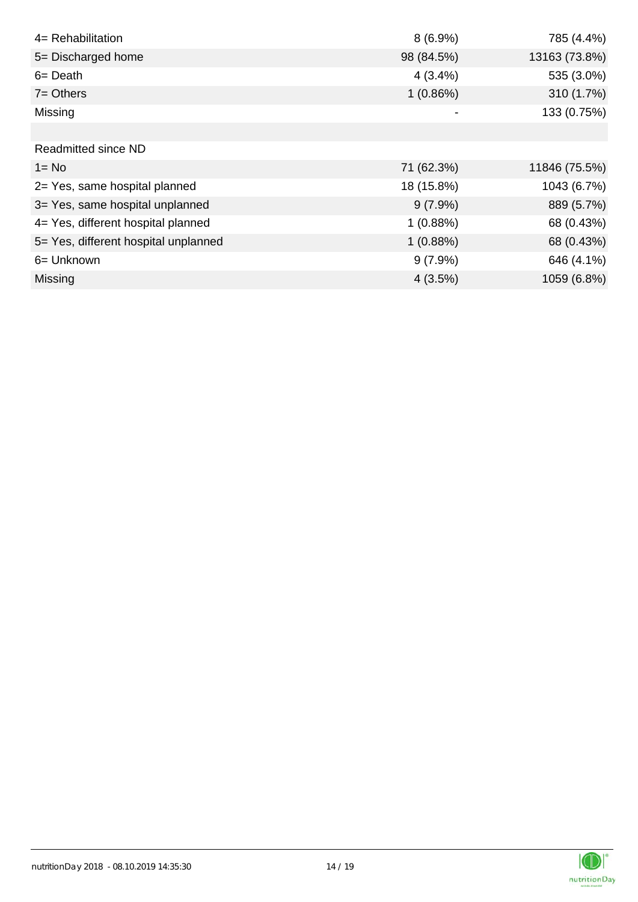| 4= Rehabilitation                    | $8(6.9\%)$ | 785 (4.4%)    |
|--------------------------------------|------------|---------------|
| 5= Discharged home                   | 98 (84.5%) | 13163 (73.8%) |
| $6 = Death$                          | $4(3.4\%)$ | 535 (3.0%)    |
| $7 =$ Others                         | 1(0.86%)   | 310 (1.7%)    |
| Missing                              |            | 133 (0.75%)   |
|                                      |            |               |
| Readmitted since ND                  |            |               |
| $1 = No$                             | 71 (62.3%) | 11846 (75.5%) |
| 2= Yes, same hospital planned        | 18 (15.8%) | 1043 (6.7%)   |
| 3= Yes, same hospital unplanned      | $9(7.9\%)$ | 889 (5.7%)    |
| 4= Yes, different hospital planned   | 1(0.88%)   | 68 (0.43%)    |
| 5= Yes, different hospital unplanned | 1(0.88%)   | 68 (0.43%)    |
| 6= Unknown                           | $9(7.9\%)$ | 646 (4.1%)    |
| Missing                              | 4(3.5%)    | 1059 (6.8%)   |

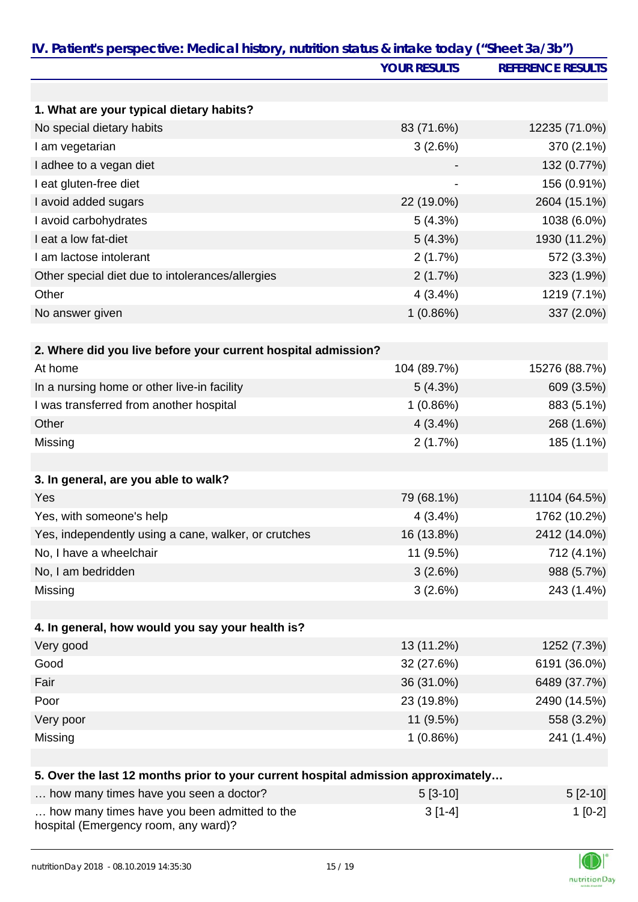| IV. Patient's perspective: Medical history, nutrition status & intake today ("Sheet 3a/3b") |                     |                          |
|---------------------------------------------------------------------------------------------|---------------------|--------------------------|
|                                                                                             | <b>YOUR RESULTS</b> | <b>REFERENCE RESULTS</b> |
|                                                                                             |                     |                          |
| 1. What are your typical dietary habits?                                                    |                     |                          |
| No special dietary habits                                                                   | 83 (71.6%)          | 12235 (71.0%)            |
| I am vegetarian                                                                             | 3(2.6%)             | 370 (2.1%)               |
| I adhee to a vegan diet                                                                     |                     | 132 (0.77%)              |
| I eat gluten-free diet                                                                      |                     | 156 (0.91%)              |
| I avoid added sugars                                                                        | 22 (19.0%)          | 2604 (15.1%)             |
| I avoid carbohydrates                                                                       | 5(4.3%)             | 1038 (6.0%)              |
| I eat a low fat-diet                                                                        | 5(4.3%)             | 1930 (11.2%)             |
| I am lactose intolerant                                                                     | 2(1.7%)             | 572 (3.3%)               |
| Other special diet due to intolerances/allergies                                            | 2(1.7%)             | 323 (1.9%)               |
| Other                                                                                       | 4(3.4%)             | 1219 (7.1%)              |
| No answer given                                                                             | 1(0.86%)            | 337 (2.0%)               |
| 2. Where did you live before your current hospital admission?                               |                     |                          |
| At home                                                                                     | 104 (89.7%)         | 15276 (88.7%)            |
|                                                                                             |                     |                          |
| In a nursing home or other live-in facility                                                 | 5(4.3%)             | 609 (3.5%)               |
| I was transferred from another hospital                                                     | 1(0.86%)            | 883 (5.1%)               |
| Other                                                                                       | 4(3.4%)             | 268 (1.6%)               |
| Missing                                                                                     | 2(1.7%)             | 185 (1.1%)               |
| 3. In general, are you able to walk?                                                        |                     |                          |
| Yes                                                                                         | 79 (68.1%)          | 11104 (64.5%)            |
| Yes, with someone's help                                                                    | 4(3.4%)             | 1762 (10.2%)             |
| Yes, independently using a cane, walker, or crutches                                        | 16 (13.8%)          | 2412 (14.0%)             |
| No, I have a wheelchair                                                                     | 11 (9.5%)           | 712 (4.1%)               |
| No, I am bedridden                                                                          | 3(2.6%)             | 988 (5.7%)               |
| Missing                                                                                     | 3(2.6%)             | 243 (1.4%)               |
|                                                                                             |                     |                          |
| 4. In general, how would you say your health is?                                            |                     |                          |
| Very good                                                                                   | 13 (11.2%)          | 1252 (7.3%)              |
| Good                                                                                        | 32 (27.6%)          | 6191 (36.0%)             |
| Fair                                                                                        | 36 (31.0%)          | 6489 (37.7%)             |
| Poor                                                                                        | 23 (19.8%)          | 2490 (14.5%)             |
| Very poor                                                                                   | 11 (9.5%)           | 558 (3.2%)               |
| Missing                                                                                     | 1(0.86%)            | 241 (1.4%)               |
|                                                                                             |                     |                          |
| 5. Over the last 12 months prior to your current hospital admission approximately           |                     |                          |
| how many times have you seen a doctor?                                                      | $5[3-10]$           | $5[2-10]$                |
| how many times have you been admitted to the<br>hospital (Emergency room, any ward)?        | $3[1-4]$            | $1[0-2]$                 |

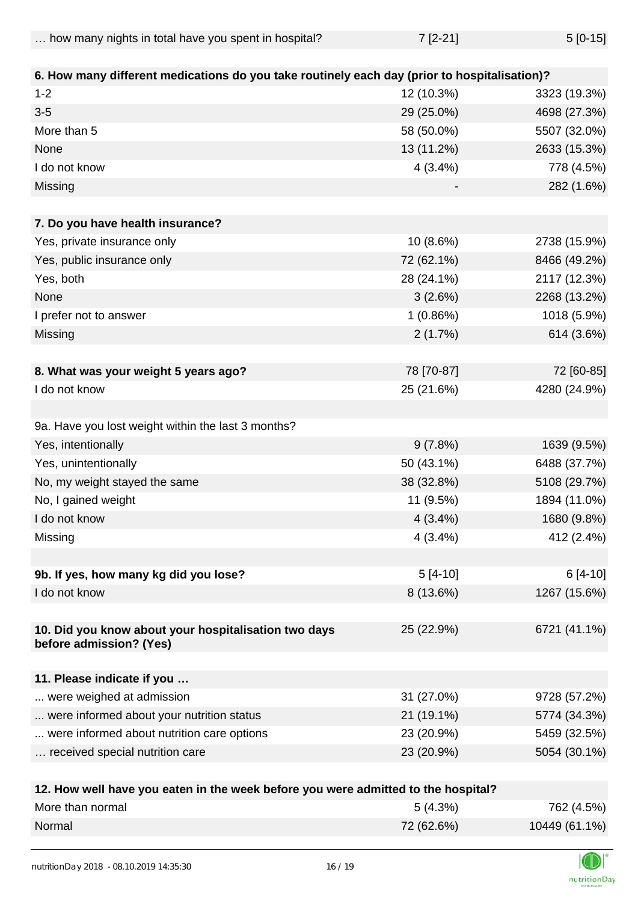| how many nights in total have you spent in hospital? | $7 [2 - 21]$ | $5[0-15]$ |
|------------------------------------------------------|--------------|-----------|
|------------------------------------------------------|--------------|-----------|

| 6. How many different medications do you take routinely each day (prior to hospitalisation)? |            |              |
|----------------------------------------------------------------------------------------------|------------|--------------|
| $1 - 2$                                                                                      | 12 (10.3%) | 3323 (19.3%) |
| $3 - 5$                                                                                      | 29 (25.0%) | 4698 (27.3%) |
| More than 5                                                                                  | 58 (50.0%) | 5507 (32.0%) |
| None                                                                                         | 13 (11.2%) | 2633 (15.3%) |
| I do not know                                                                                | 4(3.4%)    | 778 (4.5%)   |
| Missing                                                                                      |            | 282 (1.6%)   |
|                                                                                              |            |              |
| 7. Do you have health insurance?                                                             |            |              |
| Yes, private insurance only                                                                  | 10 (8.6%)  | 2738 (15.9%) |
| Yes, public insurance only                                                                   | 72 (62.1%) | 8466 (49.2%) |
| Yes, both                                                                                    | 28 (24.1%) | 2117 (12.3%) |
| None                                                                                         | 3(2.6%)    | 2268 (13.2%) |
| I prefer not to answer                                                                       | 1(0.86%)   | 1018 (5.9%)  |
| Missing                                                                                      | 2(1.7%)    | 614 (3.6%)   |
|                                                                                              |            |              |
| 8. What was your weight 5 years ago?                                                         | 78 [70-87] | 72 [60-85]   |
| I do not know                                                                                | 25 (21.6%) | 4280 (24.9%) |
|                                                                                              |            |              |
| 9a. Have you lost weight within the last 3 months?                                           |            |              |
| Yes, intentionally                                                                           | 9(7.8%)    | 1639 (9.5%)  |
| Yes, unintentionally                                                                         | 50 (43.1%) | 6488 (37.7%) |
| No, my weight stayed the same                                                                | 38 (32.8%) | 5108 (29.7%) |
| No, I gained weight                                                                          | 11 (9.5%)  | 1894 (11.0%) |
| I do not know                                                                                | $4(3.4\%)$ | 1680 (9.8%)  |
| Missing                                                                                      | 4(3.4%)    | 412 (2.4%)   |
|                                                                                              |            |              |
| 9b. If yes, how many kg did you lose?                                                        | $5[4-10]$  | $6[4-10]$    |
| I do not know                                                                                | 8 (13.6%)  | 1267 (15.6%) |
|                                                                                              |            |              |
| 10. Did you know about your hospitalisation two days                                         | 25 (22.9%) | 6721 (41.1%) |
| before admission? (Yes)                                                                      |            |              |
|                                                                                              |            |              |
| 11. Please indicate if you                                                                   |            |              |
| were weighed at admission                                                                    | 31 (27.0%) | 9728 (57.2%) |
| were informed about your nutrition status                                                    | 21 (19.1%) | 5774 (34.3%) |
| were informed about nutrition care options                                                   | 23 (20.9%) | 5459 (32.5%) |
| received special nutrition care                                                              | 23 (20.9%) | 5054 (30.1%) |
|                                                                                              |            |              |
| 12. How well have you eaten in the week before you were admitted to the hospital?            |            |              |

| More than normal | 5(4.3%)    | 762 (4.5%)    |
|------------------|------------|---------------|
| Normal           | 72 (62.6%) | 10449 (61.1%) |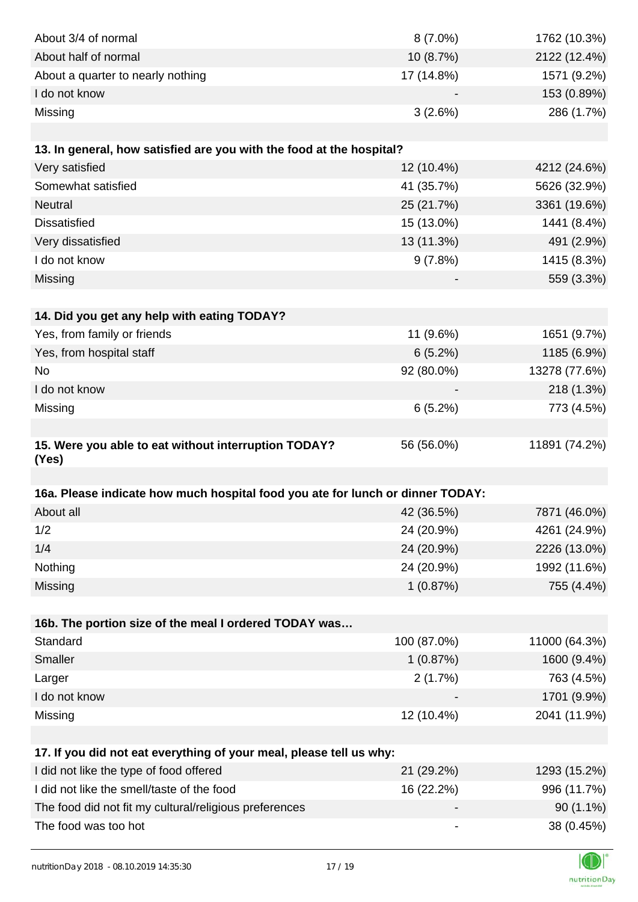| About 3/4 of normal                                                            | $8(7.0\%)$  | 1762 (10.3%)  |
|--------------------------------------------------------------------------------|-------------|---------------|
| About half of normal                                                           | 10 (8.7%)   | 2122 (12.4%)  |
| About a quarter to nearly nothing                                              | 17 (14.8%)  | 1571 (9.2%)   |
| I do not know                                                                  |             | 153 (0.89%)   |
| Missing                                                                        | 3(2.6%)     | 286 (1.7%)    |
|                                                                                |             |               |
| 13. In general, how satisfied are you with the food at the hospital?           |             |               |
| Very satisfied                                                                 | 12 (10.4%)  | 4212 (24.6%)  |
| Somewhat satisfied                                                             | 41 (35.7%)  | 5626 (32.9%)  |
| Neutral                                                                        | 25 (21.7%)  | 3361 (19.6%)  |
| <b>Dissatisfied</b>                                                            | 15 (13.0%)  | 1441 (8.4%)   |
| Very dissatisfied                                                              | 13 (11.3%)  | 491 (2.9%)    |
| I do not know                                                                  | 9(7.8%)     | 1415 (8.3%)   |
| Missing                                                                        |             | 559 (3.3%)    |
|                                                                                |             |               |
| 14. Did you get any help with eating TODAY?                                    |             |               |
| Yes, from family or friends                                                    | 11 (9.6%)   | 1651 (9.7%)   |
| Yes, from hospital staff                                                       | 6(5.2%)     | 1185 (6.9%)   |
| No                                                                             | 92 (80.0%)  | 13278 (77.6%) |
| I do not know                                                                  |             | 218 (1.3%)    |
| Missing                                                                        | 6(5.2%)     | 773 (4.5%)    |
|                                                                                |             |               |
| 15. Were you able to eat without interruption TODAY?<br>(Yes)                  | 56 (56.0%)  | 11891 (74.2%) |
|                                                                                |             |               |
| 16a. Please indicate how much hospital food you ate for lunch or dinner TODAY: |             |               |
| About all                                                                      | 42 (36.5%)  | 7871 (46.0%)  |
| 1/2                                                                            | 24 (20.9%)  | 4261 (24.9%)  |
| 1/4                                                                            | 24 (20.9%)  | 2226 (13.0%)  |
| Nothing                                                                        | 24 (20.9%)  | 1992 (11.6%)  |
| Missing                                                                        | 1(0.87%)    | 755 (4.4%)    |
|                                                                                |             |               |
| 16b. The portion size of the meal I ordered TODAY was                          |             |               |
| Standard                                                                       | 100 (87.0%) | 11000 (64.3%) |
| Smaller                                                                        | 1(0.87%)    | 1600 (9.4%)   |
| Larger                                                                         | 2(1.7%)     | 763 (4.5%)    |
| I do not know                                                                  |             | 1701 (9.9%)   |
| Missing                                                                        | 12 (10.4%)  | 2041 (11.9%)  |
|                                                                                |             |               |
| 17. If you did not eat everything of your meal, please tell us why:            |             |               |
| I did not like the type of food offered                                        | 21 (29.2%)  | 1293 (15.2%)  |
| I did not like the smell/taste of the food                                     | 16 (22.2%)  | 996 (11.7%)   |
| The food did not fit my cultural/religious preferences                         |             | $90(1.1\%)$   |
| The food was too hot                                                           |             | 38 (0.45%)    |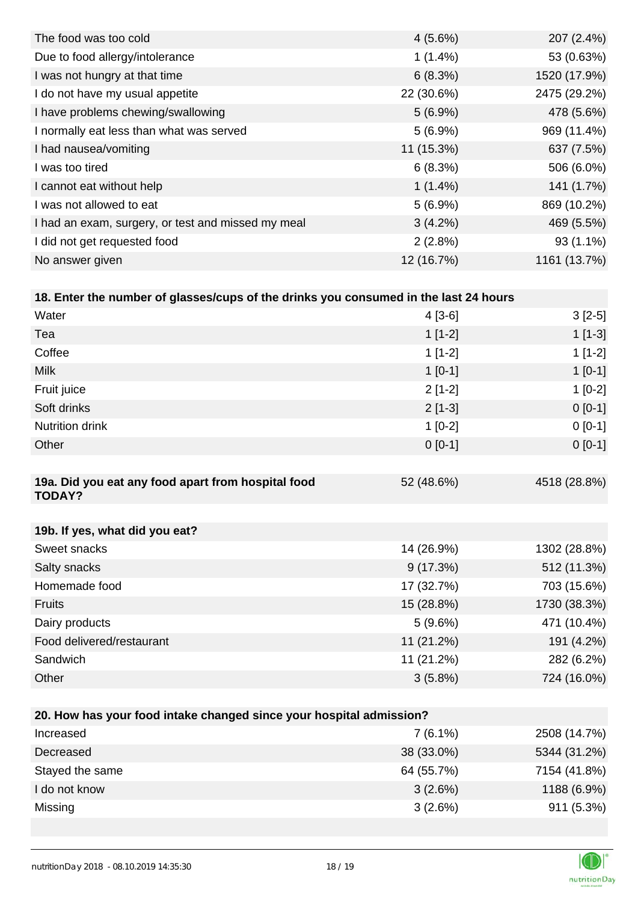| $4(5.6\%)$ | 207 (2.4%)   |
|------------|--------------|
| $1(1.4\%)$ | 53 (0.63%)   |
| 6(8.3%)    | 1520 (17.9%) |
| 22 (30.6%) | 2475 (29.2%) |
| $5(6.9\%)$ | 478 (5.6%)   |
| $5(6.9\%)$ | 969 (11.4%)  |
| 11 (15.3%) | 637 (7.5%)   |
| 6(8.3%)    | 506 (6.0%)   |
| $1(1.4\%)$ | 141 (1.7%)   |
| $5(6.9\%)$ | 869 (10.2%)  |
| $3(4.2\%)$ | 469 (5.5%)   |
| 2(2.8%)    | $93(1.1\%)$  |
| 12 (16.7%) | 1161 (13.7%) |
|            |              |

| 18. Enter the number of glasses/cups of the drinks you consumed in the last 24 hours |            |              |
|--------------------------------------------------------------------------------------|------------|--------------|
| Water                                                                                | $4[3-6]$   | $3[2-5]$     |
| Tea                                                                                  | $1[1-2]$   | $1[1-3]$     |
| Coffee                                                                               | $1[1-2]$   | $1[1-2]$     |
| <b>Milk</b>                                                                          | $1$ [0-1]  | $1[0-1]$     |
| Fruit juice                                                                          | $2[1-2]$   | $1[0-2]$     |
| Soft drinks                                                                          | $2[1-3]$   | $0 [0-1]$    |
| <b>Nutrition drink</b>                                                               | $1[0-2]$   | $0 [0-1]$    |
| Other                                                                                | $0 [0-1]$  | $0 [0-1]$    |
|                                                                                      |            |              |
| 19a. Did you eat any food apart from hospital food                                   | 52 (48.6%) | 4518 (28.8%) |

| 19b. If yes, what did you eat? |            |              |
|--------------------------------|------------|--------------|
| Sweet snacks                   | 14 (26.9%) | 1302 (28.8%) |
| Salty snacks                   | 9(17.3%)   | 512 (11.3%)  |
| Homemade food                  | 17 (32.7%) | 703 (15.6%)  |
| <b>Fruits</b>                  | 15 (28.8%) | 1730 (38.3%) |
| Dairy products                 | 5(9.6%)    | 471 (10.4%)  |
| Food delivered/restaurant      | 11 (21.2%) | 191 (4.2%)   |
| Sandwich                       | 11 (21.2%) | 282 (6.2%)   |
| Other                          | $3(5.8\%)$ | 724 (16.0%)  |

| 20. How has your food intake changed since your hospital admission? |            |              |  |
|---------------------------------------------------------------------|------------|--------------|--|
| Increased                                                           | $7(6.1\%)$ | 2508 (14.7%) |  |
| Decreased                                                           | 38 (33.0%) | 5344 (31.2%) |  |
| Stayed the same                                                     | 64 (55.7%) | 7154 (41.8%) |  |
| I do not know                                                       | 3(2.6%)    | 1188 (6.9%)  |  |
| Missing                                                             | 3(2.6%)    | $911(5.3\%)$ |  |



**TODAY?**